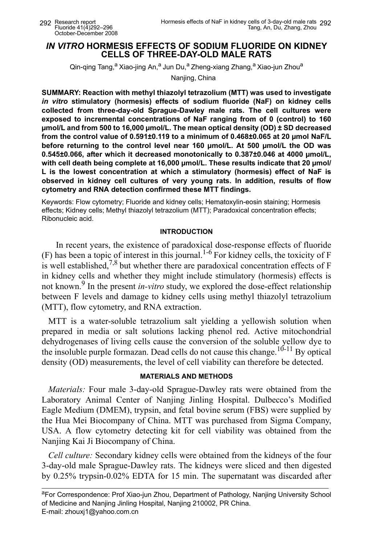#### *IN VITRO* **HORMESIS EFFECTS OF SODIUM FLUORIDE ON KIDNEY CELLS OF THREE-DAY-OLD MALE RATS**

Qin-qing Tang,<sup>a</sup> Xiao-jing An,<sup>a</sup> Jun Du,<sup>a</sup> Zheng-xiang Zhang,<sup>a</sup> Xiao-jun Zhou<sup>a</sup>

Nanjing, China

**SUMMARY: Reaction with methyl thiazolyl tetrazolium (MTT) was used to investigate** *in vitro* **stimulatory (hormesis) effects of sodium fluoride (NaF) on kidney cells collected from three-day-old Sprague-Dawley male rats. The cell cultures were exposed to incremental concentrations of NaF ranging from of 0 (control) to 160 µmol/L and from 500 to 16,000 µmol/L. The mean optical density (OD) ± SD decreased from the control value of 0.591±0.119 to a minimum of 0.468±0.065 at 20 µmol NaF/L before returning to the control level near 160 µmol/L. At 500 µmol/L the OD was 0.545±0.066, after which it decreased monotonically to 0.387±0.046 at 4000 µmol/L, with cell death being complete at 16,000 µmol/L. These results indicate that 20 µmol/ L is the lowest concentration at which a stimulatory (hormesis) effect of NaF is observed in kidney cell cultures of very young rats. In addition, results of flow cytometry and RNA detection confirmed these MTT findings.**

Keywords: Flow cytometry; Fluoride and kidney cells; Hematoxylin-eosin staining; Hormesis effects; Kidney cells; Methyl thiazolyl tetrazolium (MTT); Paradoxical concentration effects; Ribonucleic acid.

#### **INTRODUCTION**

 In recent years, the existence of paradoxical dose-response effects of fluoride (F) has been a topic of interest in this journal.<sup>1-6</sup> For kidney cells, the toxicity of F is well established,<sup>7,8</sup> but whether there are paradoxical concentration effects of F in kidney cells and whether they might include stimulatory (hormesis) effects is not known.<sup>9</sup> In the present *in-vitro* study, we explored the dose-effect relationship between F levels and damage to kidney cells using methyl thiazolyl tetrazolium (MTT), flow cytometry, and RNA extraction.

MTT is a water-soluble tetrazolium salt yielding a yellowish solution when prepared in media or salt solutions lacking phenol red. Active mitochondrial dehydrogenases of living cells cause the conversion of the soluble yellow dye to the insoluble purple formazan. Dead cells do not cause this change.<sup>10-11</sup> By optical density (OD) measurements, the level of cell viability can therefore be detected.

#### **MATERIALS AND METHODS**

*Materials:* Four male 3-day-old Sprague-Dawley rats were obtained from the Laboratory Animal Center of Nanjing Jinling Hospital. Dulbecco's Modified Eagle Medium (DMEM), trypsin, and fetal bovine serum (FBS) were supplied by the Hua Mei Biocompany of China. MTT was purchased from Sigma Company, USA. A flow cytometry detecting kit for cell viability was obtained from the Nanjing Kai Ji Biocompany of China.

*Cell culture:* Secondary kidney cells were obtained from the kidneys of the four 3-day-old male Sprague-Dawley rats. The kidneys were sliced and then digested by 0.25% trypsin-0.02% EDTA for 15 min. The supernatant was discarded after

aFor Correspondence: Prof Xiao-jun Zhou, Department of Pathology, Nanjing University School of Medicine and Nanjing Jinling Hospital, Nanjing 210002, PR China. E-mail: zhouxj1@yahoo.com.cn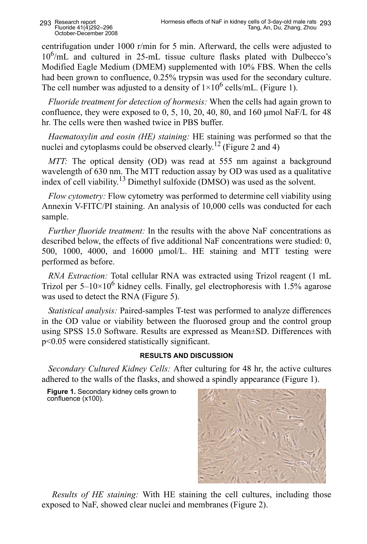centrifugation under 1000 r/min for 5 min. Afterward, the cells were adjusted to 10<sup>6</sup> /mL and cultured in 25-mL tissue culture flasks plated with Dulbecco's Modified Eagle Medium (DMEM) supplemented with 10% FBS. When the cells had been grown to confluence, 0.25% trypsin was used for the secondary culture. The cell number was adjusted to a density of  $1 \times 10^6$  cells/mL. (Figure 1).

*Fluoride treatment for detection of hormesis:* When the cells had again grown to confluence, they were exposed to  $0, 5, 10, 20, 40, 80$ , and  $160 \mu$ mol NaF/L for 48 hr. The cells were then washed twice in PBS buffer.

*Haematoxylin and eosin (HE) staining:* HE staining was performed so that the nuclei and cytoplasms could be observed clearly.<sup>12</sup> (Figure 2 and 4)

*MTT:* The optical density (OD) was read at 555 nm against a background wavelength of 630 nm. The MTT reduction assay by OD was used as a qualitative index of cell viability.13 Dimethyl sulfoxide (DMSO) was used as the solvent.

*Flow cytometry:* Flow cytometry was performed to determine cell viability using Annexin V-FITC/PI staining. An analysis of 10,000 cells was conducted for each sample.

*Further fluoride treatment:* In the results with the above NaF concentrations as described below, the effects of five additional NaF concentrations were studied: 0, 500, 1000, 4000, and 16000 µmol/L. HE staining and MTT testing were performed as before.

*RNA Extraction:* Total cellular RNA was extracted using Trizol reagent (1 mL Trizol per  $5-10\times10^6$  kidney cells. Finally, gel electrophoresis with 1.5% agarose was used to detect the RNA (Figure 5).

*Statistical analysis:* Paired-samples T-test was performed to analyze differences in the OD value or viability between the fluorosed group and the control group using SPSS 15.0 Software. Results are expressed as Mean±SD. Differences with p<0.05 were considered statistically significant.

# **RESULTS AND DISCUSSION**

*Secondary Cultured Kidney Cells:* After culturing for 48 hr, the active cultures adhered to the walls of the flasks, and showed a spindly appearance (Figure 1).

**Figure 1.** Secondary kidney cells grown to confluence (x100).



*Results of HE staining:* With HE staining the cell cultures, including those exposed to NaF, showed clear nuclei and membranes (Figure 2).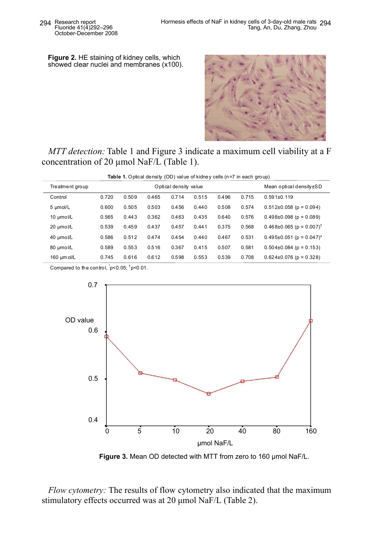**Figure 2.** HE staining of kidney cells, which showed clear nuclei and membranes (x100).



*MTT detection:* Table 1 and Figure 3 indicate a maximum cell viability at a F concentration of 20 µmol NaF/L (Table 1).

|  |  | <b>Table 1.</b> Optical density (OD) value of kidney cells $(n=7$ in each group) |
|--|--|----------------------------------------------------------------------------------|

| Treatment group |       |       |       | Optical density value |       |       |       | Mean optical density±SD                    |
|-----------------|-------|-------|-------|-----------------------|-------|-------|-------|--------------------------------------------|
| Control         | 0.720 | 0.509 | 0.465 | 0.714                 | 0.515 | 0.496 | 0.715 | $0.591 \pm 0.119$                          |
| 5 µmol/L        | 0.600 | 0.505 | 0.503 | 0.456                 | 0.440 | 0.508 | 0.574 | $0.512\pm0.058$ (p = 0.094)                |
| 10 µmol/L       | 0.565 | 0.443 | 0.362 | 0.463                 | 0.435 | 0.640 | 0.576 | $0.498\pm0.098$ (p = 0.089)                |
| 20 µmol/L       | 0.539 | 0.459 | 0.437 | 0.457                 | 0.441 | 0.375 | 0.568 | $0.468 \pm 0.065$ (p = 0.007) <sup>T</sup> |
| 40 µmol/L       | 0.586 | 0.512 | 0.474 | 0.454                 | 0.440 | 0.467 | 0.531 | $0.495\pm0.051$ (p = 0.047) <sup>*</sup>   |
| 80 µmol/L       | 0.589 | 0.553 | 0.516 | 0.367                 | 0.415 | 0.507 | 0.581 | $0.504\pm0.084$ (p = 0.153)                |
| 160 um ol/L     | 0.745 | 0.616 | 0.612 | 0.598                 | 0.553 | 0.539 | 0.708 | $0.624\pm0.076$ (p = 0.328)                |

Compared to the control,  $p<0.05$ ;  $p<0.01$ .



**Figure 3.** Mean OD detected with MTT from zero to 160 µmol NaF/L.

*Flow cytometry:* The results of flow cytometry also indicated that the maximum stimulatory effects occurred was at 20 µmol NaF/L (Table 2).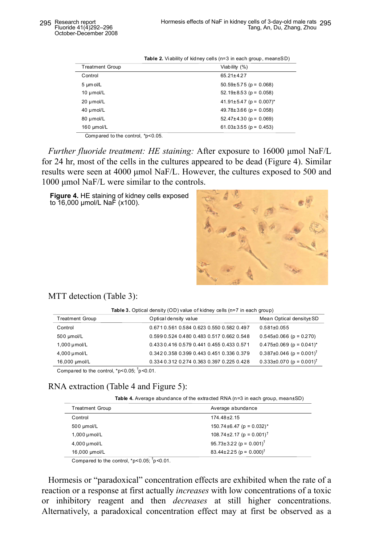| Viability (%)                 |  |  |  |  |
|-------------------------------|--|--|--|--|
| $65.21 \pm 4.27$              |  |  |  |  |
| $50.59 \pm 5.75$ (p = 0.068)  |  |  |  |  |
| $52.19 \pm 8.53$ (p = 0.058)  |  |  |  |  |
| $41.91 \pm 5.47$ (p = 0.007)* |  |  |  |  |
| $49.78 \pm 3.66$ (p = 0.058)  |  |  |  |  |
| $52.47 \pm 4.30$ (p = 0.069)  |  |  |  |  |
| $61.03 \pm 3.55$ (p = 0.453)  |  |  |  |  |
|                               |  |  |  |  |

**Table 2.** Viability of kidney cells (n=3 in each group, mean±SD)

Compared to the control, \*p<0.05.

*Further fluoride treatment: HE staining: After exposure to 16000 µmol NaF/L* for 24 hr, most of the cells in the cultures appeared to be dead (Figure 4). Similar results were seen at 4000 µmol NaF/L. However, the cultures exposed to 500 and 1000 µmol NaF/L were similar to the controls.

**Figure 4.** HE staining of kidney cells exposed to 16,000 µmol/L NaF (x100).



# MTT detection (Table 3):

| Table 3. Optical density (OD) value of kidney cells (n=7 in each group) |                                           |                                          |  |  |
|-------------------------------------------------------------------------|-------------------------------------------|------------------------------------------|--|--|
| <b>Treatment Group</b>                                                  | Optical density value                     | Mean Optical density±SD                  |  |  |
| Control                                                                 | 0.671 0.561 0.584 0.623 0.550 0.582 0.497 | $0.581\pm0.055$                          |  |  |
| 500 umol/L                                                              | 0.599 0.524 0.480 0.483 0.517 0.662 0.548 | $0.545\pm0.066$ (p = 0.270)              |  |  |
| 1,000 umol/L                                                            | 0.433 0.416 0.579 0.441 0.455 0.433 0.571 | $0.475\pm0.069$ (p = 0.041)*             |  |  |
| $4,000$ µmol/L                                                          | 0.342 0.358 0.399 0.443 0.451 0.336 0.379 | $0.387\pm0.046$ (p = 0.001) <sup>†</sup> |  |  |
| 16,000 µmol/L                                                           | 0.334 0.312 0.274 0.363 0.397 0.225 0.428 | $0.333\pm0.070$ (p = 0.001) <sup>†</sup> |  |  |

Compared to the control,  $\text{*p<0.05}$ ;  $\text{^{\text{t}}p<0.01}$ .

# RNA extraction (Table 4 and Figure 5):

Table 4. Average abundance of the extracted RNA (n=3 in each group, mean±SD)

| <b>Treatment Group</b> | Average abundance                          |
|------------------------|--------------------------------------------|
| Control                | $174.48 \pm 2.15$                          |
| 500 umol/L             | $150.74 \pm 6.47$ (p = 0.032) <sup>*</sup> |
| $1,000$ $\mu$ mol/L    | $108.74 \pm 2.17$ (p = 0.001) <sup>†</sup> |
| $4,000 \mu$ mol/L      | $95.73 \pm 3.22$ (p = 0.001) <sup>†</sup>  |
| 16,000 µmol/L          | $83.44 \pm 2.25$ (p = 0.000) <sup>†</sup>  |

Compared to the control,  $*p<0.05$ ;  $\frac{1}{p}<0.01$ .

Hormesis or "paradoxical" concentration effects are exhibited when the rate of a reaction or a response at first actually *increases* with low concentrations of a toxic or inhibitory reagent and then *decreases* at still higher concentrations. Alternatively, a paradoxical concentration effect may at first be observed as a